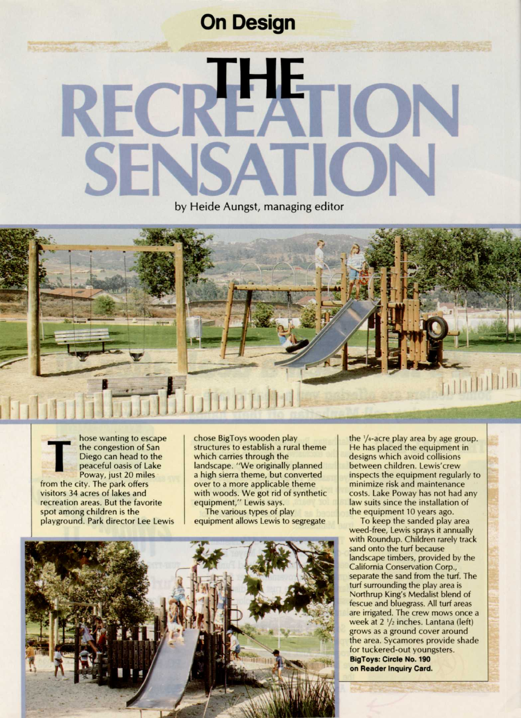## **On Design**

by Heide Aungst, managing editor



**THE FROM SET SHOWSING STATE STATES THE CONSERVANT OF SCHOOL POWAY, just 20 miles<br>from the city. The park offers** hose wanting to escape the congestion of San Diego can head to the peaceful oasis of Lake Poway, just 20 miles visitors 34 acres of lakes and recreation areas. But the favorite spot among children is the playground. Park director Lee Lewis

chose BigToys wooden play structures to establish a rural theme which carries through the landscape. "We originally planned a high sierra theme, but converted over to a more applicable theme with woods. We got rid of synthetic equipment," Lewis says.

The various types of play equipment allows Lewis to segregate



the  $\frac{1}{4}$ -acre play area by age group. He has placed the equipment in designs which avoid collisions between children. Lewis'crew inspects the equipment regularly to minimize risk and maintenance costs. Lake Poway has not had any law suits since the installation of the equipment 10 years ago.

To keep the sanded play area weed-free, Lewis sprays it annually with Roundup. Children rarely track sand onto the turf because landscape timbers, provided by the California Conservation Corp., separate the sand from the turf. The turf surrounding the play area is Northrup King's Medalist blend of fescue and bluegrass. All turf areas are irrigated. The crew mows once a week at 2  $1/2$  inches. Lantana (left) grows as a ground cover around the area. Sycamores provide shade for tuckered-out youngsters. **BigToys: Circle No. 190 on Reader Inquiry Card.**